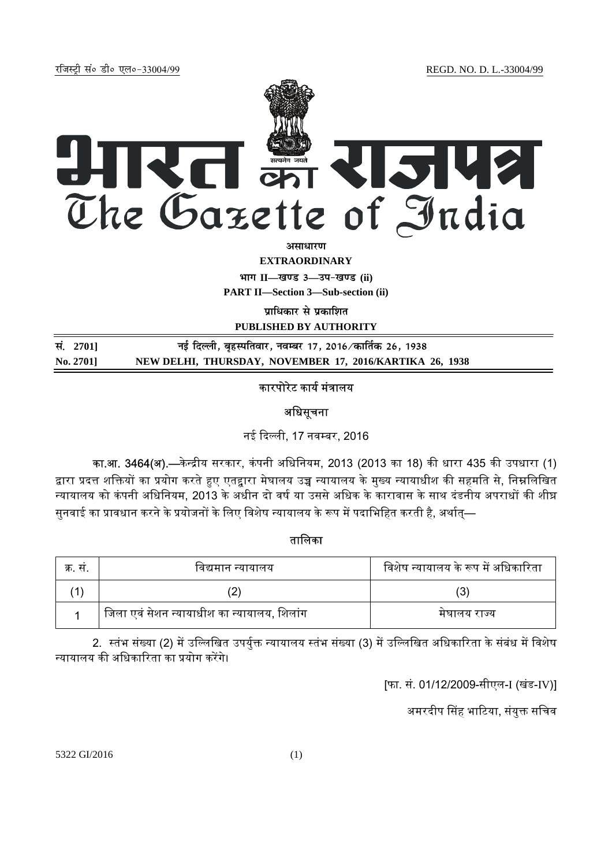jftLVªh laö Mhö ,yö&33004@99 REGD. NO. D. L.-33004/99



**vlk/kj.k**

**EXTRAORDINARY**

**Hkkx II—[k.M 3—mi&[k.M (ii)**

**PART II—Section 3—Sub-section (ii)** 

**पाधिकार से प्रकाशित PUBLISHED BY AUTHORITY**

| सं. 2701] | नई दिल्ली, बृहस्पतिवार, नवम्बर 17, 2016 ∕कार्तिक 26, 1938 |
|-----------|-----------------------------------------------------------|
| No. 2701  | NEW DELHI, THURSDAY, NOVEMBER 17, 2016/KARTIKA 26, 1938   |

# कारपोरेट कार्य मंत्रालय

## अधिसचना

नई दिल्ली, 17 नवम्बर, 2016

का.<mark>आ. 3464(अ).—</mark>केन्द्रीय सरकार, कंपनी अधिनियम, 2013 (2013 का 18) की धारा 435 की उपधारा (1) द्वारा प्रदत्त शक्तियों का प्रयोग करते हुए एतद्वारा मेघालय उच्च न्यायालय के मुख्य न्यायाधीश की सहमति से, निम्नलिखित न्यायालय को कंपनी अधिनियम, 2013 के अधीन दो वर्ष या उससे अधिक के कारावास के साथ दंडनीय अपराधों की शीघ्र सुनवाई का प्रावधान करने के प्रयोजनों के लिए विशेष न्यायालय के रूप में पदाभिहित करती है, अर्थात—

### तािलका

| क्र. स. | विद्यमान न्यायालय                           | विशेष न्यायालय के रूप में अधिकारिता |
|---------|---------------------------------------------|-------------------------------------|
|         |                                             |                                     |
|         | जिला एवं सेशन न्यायाधीश का न्यायालय, शिलांग | मघालय राज्य                         |

2. स्तंभ संख्या (2) में उल्लिखित उपर्युक्त न्यायालय स्तंभ संख्या (3) में उल्लिखित अधिकारिता के संबंध में विशेष न्यायालय की अधिकारिता का प्रयोग करेंगे।

[फा. सं. 01/12/2009-सीएल-I (खंड-IV)]

अमरदीप सिंह भाटिया, संयुक्त सचिव

5322 GI/2016 (1)